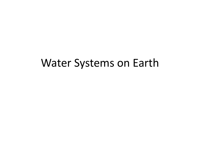## Water Systems on Earth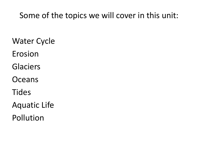#### Some of the topics we will cover in this unit:

- Water Cycle
- Erosion
- Glaciers
- **Oceans**
- **Tides**
- Aquatic Life
- Pollution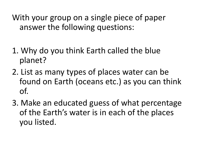With your group on a single piece of paper answer the following questions:

- 1. Why do you think Earth called the blue planet?
- 2. List as many types of places water can be found on Earth (oceans etc.) as you can think of.
- 3. Make an educated guess of what percentage of the Earth's water is in each of the places you listed.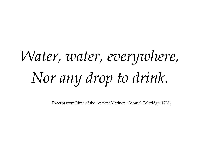# *Water, water, everywhere, Nor any drop to drink.*

Excerpt from Rime of the Ancient Mariner – Samuel Coleridge (1798)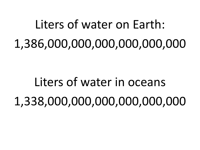## Liters of water on Earth: 1,386,000,000,000,000,000,000

## Liters of water in oceans 1,338,000,000,000,000,000,000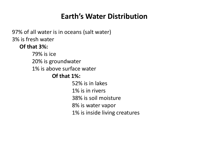#### **Earth's Water Distribution**

97% of all water is in oceans (salt water) 3% is fresh water

#### **Of that 3%:**

79% is ice 20% is groundwater 1% is above surface water **Of that 1%:** 52% is in lakes 1% is in rivers 38% is soil moisture 8% is water vapor 1% is inside living creatures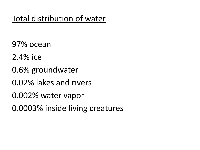### Total distribution of water

97% ocean

- 2.4% ice
- 0.6% groundwater
- 0.02% lakes and rivers
- 0.002% water vapor
- 0.0003% inside living creatures